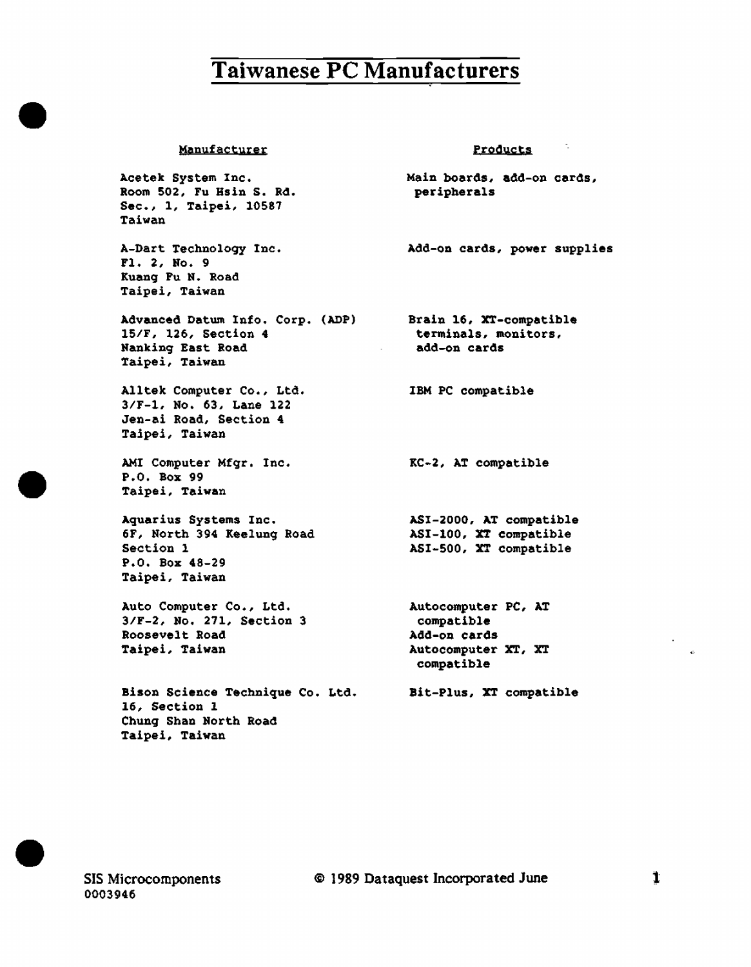#### **Manufacturer**

Acetek System Inc. Room 502, Fu Hsin S. Rd. Sec., 1, Taipei, 10587 Taiwan

•

•

•

A-Dart Technoloqy Inc. Fl. 2, No. 9 Kuang Fu N. Road Taipei, Taiwan

Advanced Datum Info. Corp. (ADP) 15/F, 126, Section 4 Nanking East Road Taipei, Taiwan

Alltek Computer Co., Ltd. 3/F-1, No. 63, Lane 122 Jen-ai Road, Section 4 Taipei, Taiwan

AMI Computer Mfgr. Inc. P.O. Box 99 Taipei, Taiwan

Aquarius Systems Inc. 6F, North 394 Keelung Road Section 1 P.O. Box 48-29 Taipei, Taiwan

Auto Computer Co., Ltd. 3/F-2, No. 271, Section 3 Roosevelt Road Taipei, Taiwan

Bison Science Technique Co. Ltd. 16, Section 1 Chung Shan North Road Taipei, Taiwan

peripherals

Main boards, add-on cards,

Products

Add-on cards, power supplies

Brain 16, XT-compatible terminals, monitors, add-on cards

IBM PC compatible

KC-2, AT compatible

ASI-2000, AT compatible ASI-100, XT compatible ASI-500, XT compatible

Autocomputer PC, AT compatible Add-on cards Autocomputer XT, XT compatible

Bit-Plus, XT compatible

SIS Microcomponents 0003946

@ 1989 Dataquest Incorporated June t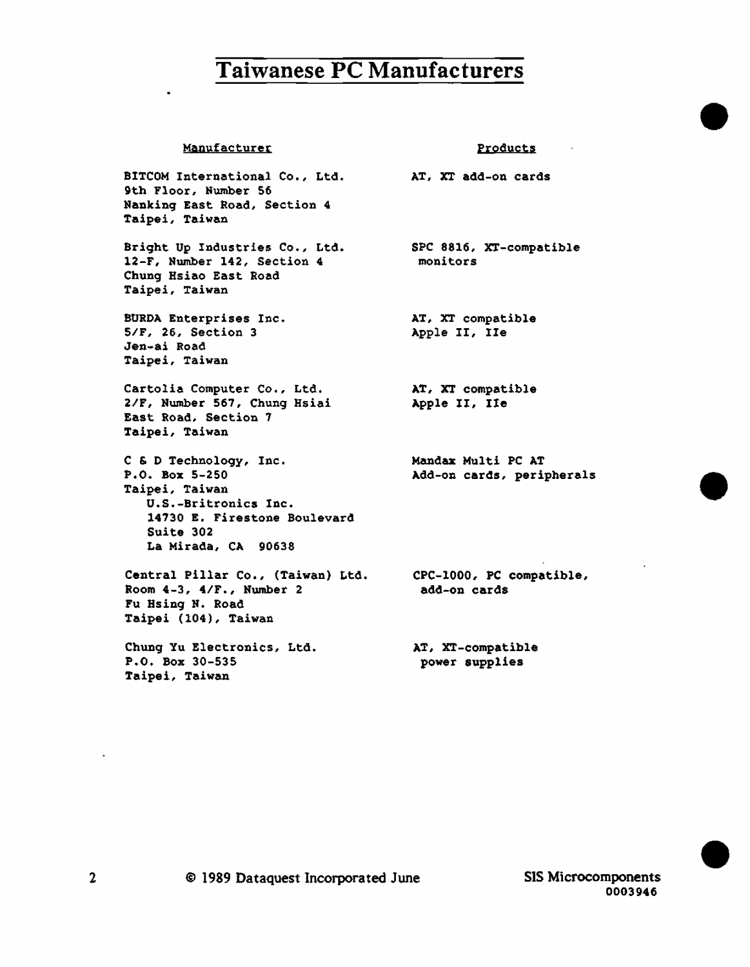#### Manufacturer

BITCOM International Co., Ltd. AT, XT add-on cards 9th Floor, Number 56 Nanking East Road, Section 4 Taipei, Taiwan

Bright Up Industries Co., Ltd. 12-F, Number 142, Section 4 Chung Hsiao East Road Taipei, Taiwan

BURDA Enterprises Inc. 5/F, 26, Section 3 Jen-ai Road Taipei, Taiwan

Cartolia Computer Co,, Ltd. 2/F, Number 567, Chung Hsiai East Road, Section 7 Taipei, Taiwan

C & D Technology, Inc. P.O. Box 5-250 Taipei, Taiwan U.S.-Britronics Inc. 14730 E. Firestone Boulevard Suite 302 La Mirada, CA 90638

Central Pillar Co., (Taiwan) Ltd. CPC-1000, PC compatible, Room 4-3, 4/F., Number 2 Fu Hsing N. Road Taipei (104), Taiwan

Chung Yu Electronics, Ltd. P.O. Box 30-535 Taipei, Taiwan

SPC 8816, XT-compatible monitors

**Products** 

•

•

•

AT, XT compatible Apple II, Ile

AT, XT compatible Apple II, Ile

Mandax Multi PC AT Add-on cards, peripherals

add-on cards

AT, XT-compatible power supplies

0003946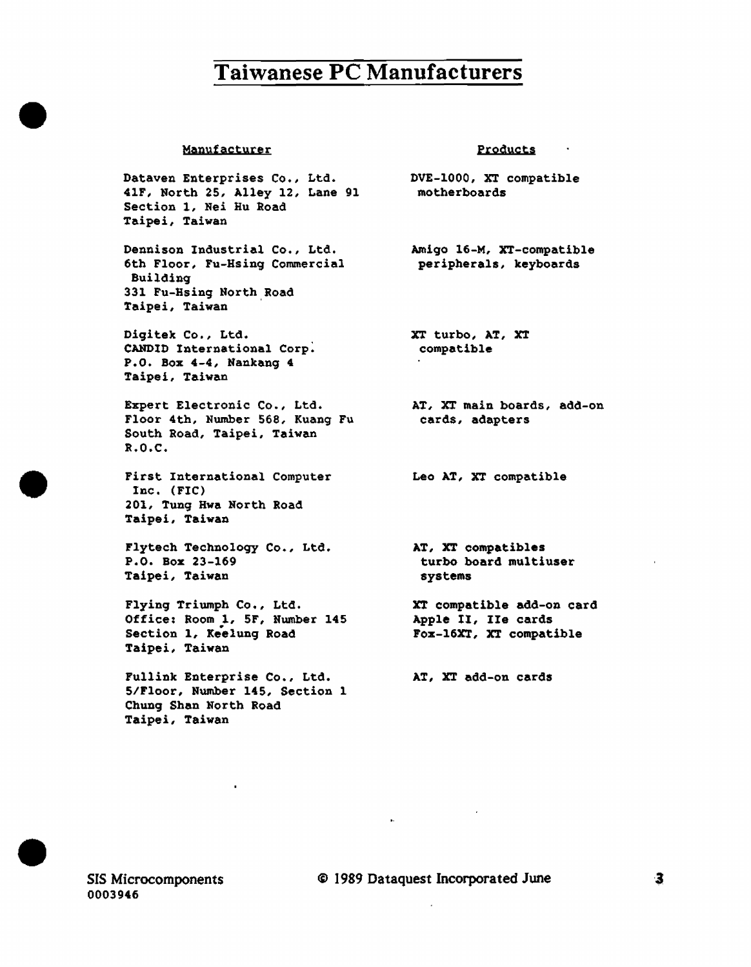#### Manufacturer

•

•

•

Dataven Enterprises Co., Ltd. 41F, North 25, Alley 12, Lane 91 Section 1, Nei Hu Road Taipei, Taiwan

Dennison Industrial Co., Ltd. 6th Floor, Fu-Hsing Commercial Building 331 Fu-Hsing North Road Taipei, Taiwan

Digitek Co., Ltd. CANDID International Corp: P.O. Box 4-4, Nankang 4 Taipei, Taiwan

Expert Electronic Co., Ltd. Floor 4th, Number 568, Kuang Fu South Road, Taipei, Taiwan R.O.C •

First International Computer Inc. (FIC) 201, Tung Hwa North Road Taipei. Taiwan

Flytech Technology Co., Ltd. P.O. Boz 23-169 Taipei, Taiwan

Flying Triumph Co., Ltd. Office: Room 1, SF, Number 145 Section 1, Keelung Road Taipei. Taiwan

Fullink Enterprise Co., Ltd. 5/Floor, Number 145, Section 1 Chung Shan North Road Taipei, Taiwan

#### Products

DVE-1000, XT compatible motherboards

Amigo 16-M, XT-compatible peripherals, keyboards

XT turbo, AT, XT compatible

AT, XT main boards, add-on cards, adapters

Leo AT, XT compatible

AT, XT compatibles turbo board multiuser systems

XT compatible add-on card Apple II, Ile cards Foz-16XT, XT compatible

AT, XT add-on cards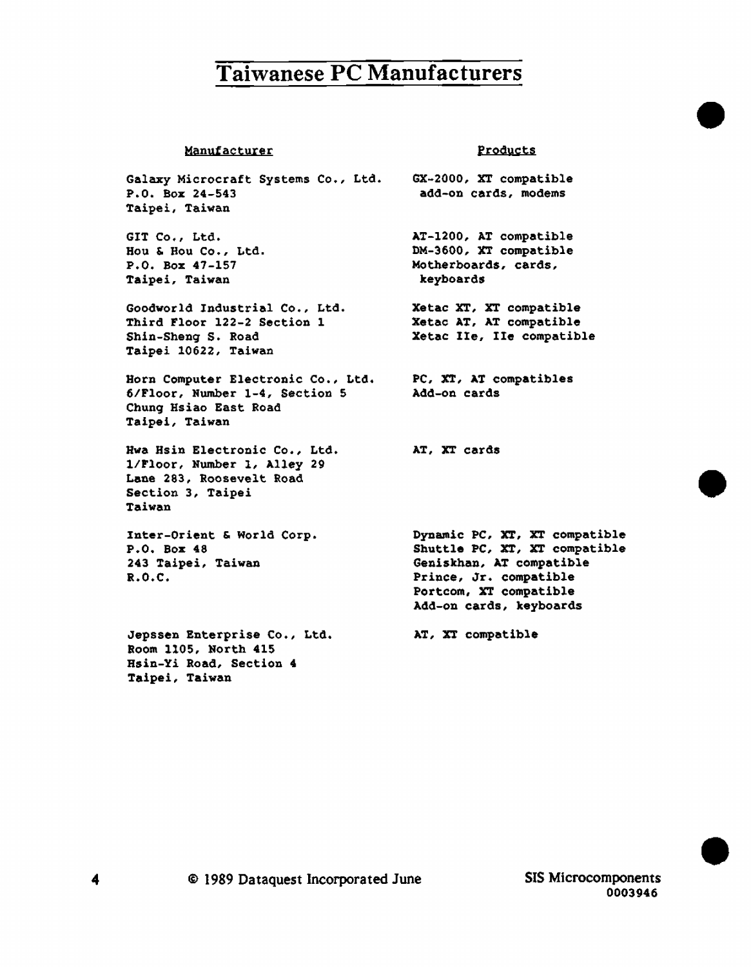#### **Manufacturer**

Galaxy Microcraft Systems Co., Ltd. P.O. Box 24-543 Taipei, Taiwan

GIT Co., Ltd. Hou & Hou Co., Ltd. P.O. Box 47-157 Taipei, Taiwan

Goodworld Industrial Co., Ltd. Third Floor 122-2 Section 1 Shin-Sheng s. Road Taipei 10622, Taiwan

Horn Computer Electronic Co., Ltd. 6/Floor, Number 1-4, Section 5 Chung Hsiao East Road Taipei, Taiwan

Hwa Bsin Electronic Co., Ltd. l/Floor, Number 1, Alley 29 Lane 283, Roosevelt Road Section 3, Taipei Taiwan

Inter-Orient & World Corp. P.O. Box 48 243 Taipei, Taiwan R.O.C.

Jepssen Enterprise Co., Ltd. Room 1105, North 415 Hsin-Yi Road, Section 4 Taipei, Taiwan

#### Products

•

•

•

GX-2000, XT compatible add-on cards, modems

AT-1200, AT compatible DM-3600, XT compatible Motherboards, cards, keyboards

Xetac XT, XT compatible Xetac AT, AT compatible Xetac Ile, Ile compatible

PC, XT, AT compatibles Add-on cards

AT, XT cards

Dynamic PC, XT, XT compatible Shuttle PC, XT, XT compatible Geniskhan, AT compatible Prince, Jr. compatible Portcom, XT compatible Add-on cards, keyboards

AT, XT compatible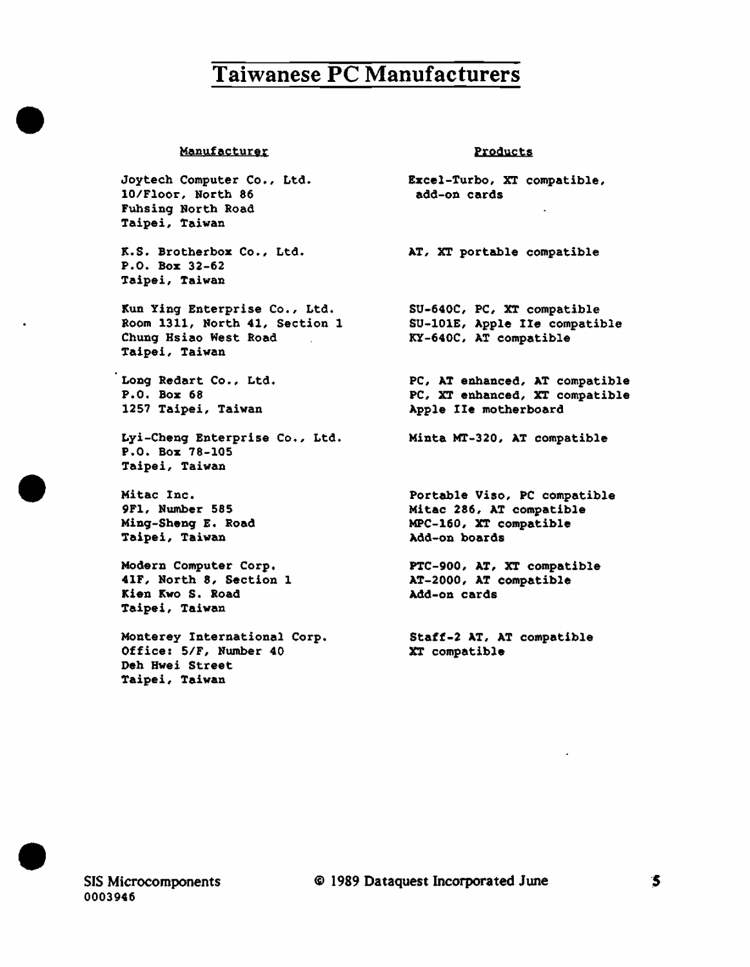#### Manufacturer

•

•

•

Joytech Computer Co., Ltd. 10/Floor, North 86 Fuhsin9 North Road Taipei, Taiwan

K.S. Brotherbox Co., Ltd. **AT, XT** portable compatible P.O. Box 32-62 Taipei, Taiwan

Kun Ying Enterprise Co., Ltd. Room 1311, North 41, Section 1 Chung Hsiao West Road  $\sim 10^{10}$ Taipei, Taiwan

Long Redart Co., Ltd. P.O. Boz 68 1257 Taipei, Taiwan

Lyi-Cheng Enterprise Co., Ltd. P.O. Box 78-105 Taipei, Taiwan

Mitac Inc. 9Fl, Nwnber 585 Ming-Sheng E. Road Taipei, Taiwan

Modern Computer Corp. 41F, North 8, Section 1 Kien Kwo s. Road Taipei, Taiwan

Monterey International Corp. Office: 5/F, Number 40 Deb Bwei Street Taipei, Taiwan

#### Products

Excel-Turbo, XT compatible, add-on cards

SU-640C, PC, XT compatible SU-lOlE,. Apple Ile compatible KY-640C, AT compatible

PC, AT enhanced, AT compatible PC, XT enhanced, XT compatible Apple Ile motherboard

Minta MT-320, AT compatible

Portable Viso, PC compatible Mitac 286, AT compatible MPC-160, XT compatible Add-on boards

PTC-900, AT, XT compatible AT-2000, AT compatible Add-on cards

Staff-2 AT, AT compatible XT compatible

SIS Microcomponents 0003946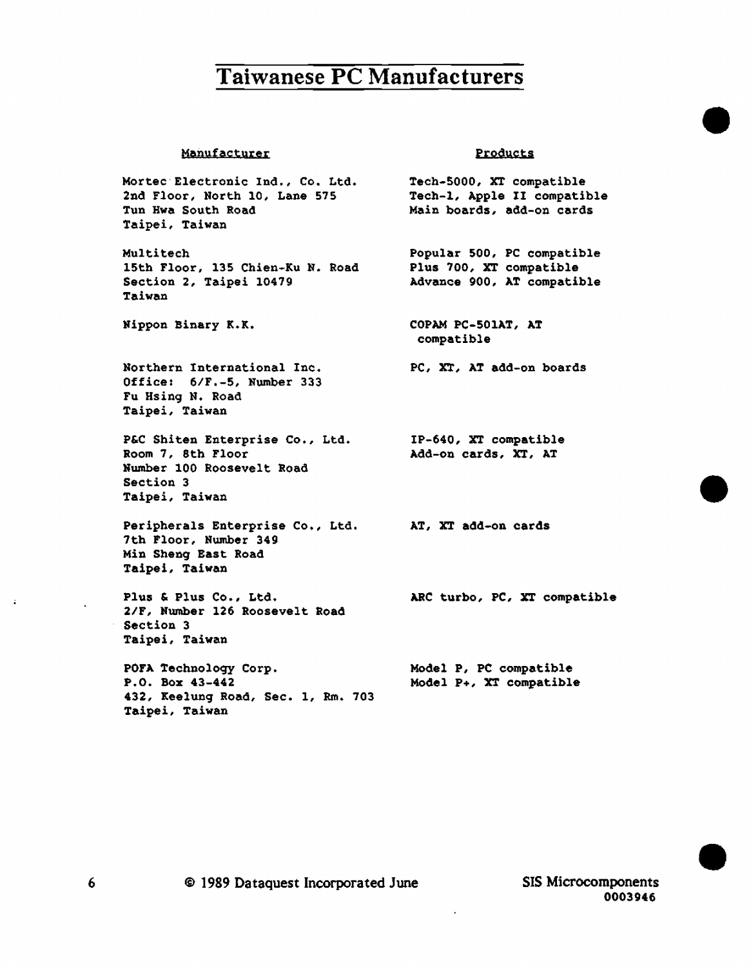#### Manufacturer

Mortec-Electronic Ind., Co. Ltd. 2nd Floor, North 10, Lane 575 Tun Hwa South Road Taipei, Taiwan

Multi tech 15th Floor, 135 Chien-Ku N. Road Section 2, Taipei 10479 Taiwan

Nippon Binary K.K.

Northern International Inc. Office: 6/F,-5, Number 333 Fu Hsing N. Road Taipei, Taiwan

P&C Shiten Enterprise Co., Ltd. Room 7, 8th Floor Number 100 Roosevelt Road Section 3 Taipei, Taiwan

Peripherals Enterprise Co., Ltd. 7th Floor, Number 349 Min Sheng East Road Taipei, Taiwan

Plus & Plus Co., Ltd. 2/F, Number 126 Roosevelt Road Section 3 Taipei, Taiwan

POFA Technoloqy Corp. P.O. Box 43-442 432, Keelung Road, Sec. 1, Rm. 703 Taipei, Taiwan

#### Products

•

•

•

Tech-5000, XT compatible Tech-1, Apple II compatible Main boards, add-on cards

Popular 500, PC compatible Plus 700, XT compatible Advance 900, AT compatible

COPAM PC-SOlAT, AT compatible

PC, XT, AT add-on boards

IP-640, XT compatible Add-on cards, XT, AT

AT, XT add-on cards

ARC turbo, PC, XT compatible

Model P, PC compatible Model P+, XT compatible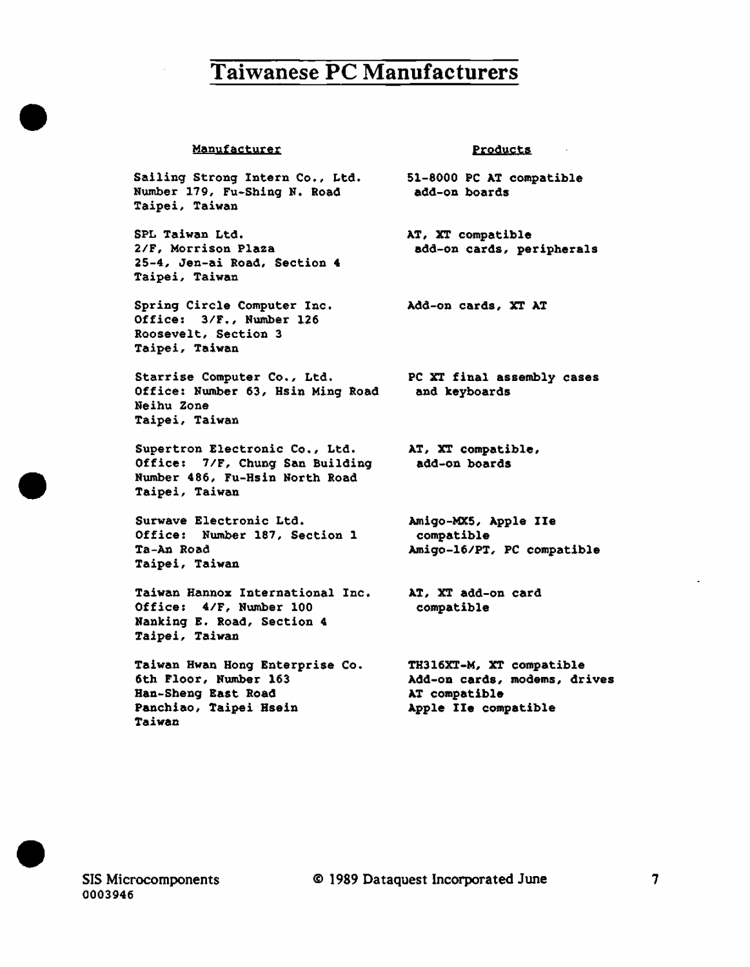#### Manufacturer

•

•

•

Sailing Strong Intern Co., Ltd. Number 179, Fu-Shing N. Road Taipei, Taiwan

SPL Taiwan Ltd. 2/F, Morrison Plaza 25-4, Jen-ai Road, Section 4 Taipei, Taiwan

Spring Circle Computer Inc. Office: 3/F., Number 126 Roosevelt, Section 3 Taipei, Taiwan

Starrise Computer Co., Ltd. Office: Number 63, Hsin Ming Road Neihu Zone Taipei, Taiwan

Supertron Electronic Co., Ltd. Office: 7/F, Chung San Building Number 486, Fu-Hsin North Road Taipei, Taiwan

Surwave Electronic Ltd. Office: Number 187, Section 1 Ta-An Road Taipei, Taiwan

Taiwan Hannoz International Inc. Office: 4/F, Number 100 Hanking E. Road, Section 4 Taipei, Taiwan

Taiwan Hwan Hong Enterprise Co. 6th Floor, Number 163 Ban-Sheng East Road Panchiao, Taipei Bsein Taiwan

**Products** 

51-8000 PC AT compatible add-on boards

AT, XT compatible add-on cards, peripherals

Add-on cards, XT AT

PC XT final assembly cases and keyboards

AT, XT compatible, add-on boards

Amigo-MXS, Apple Ile compatible Amigo-16/PT, PC compatible

AT, XT add-on card compatible

TH316XT-M, XT compatible Add-on cards, modems, drives AT compatible Apple Ile compatible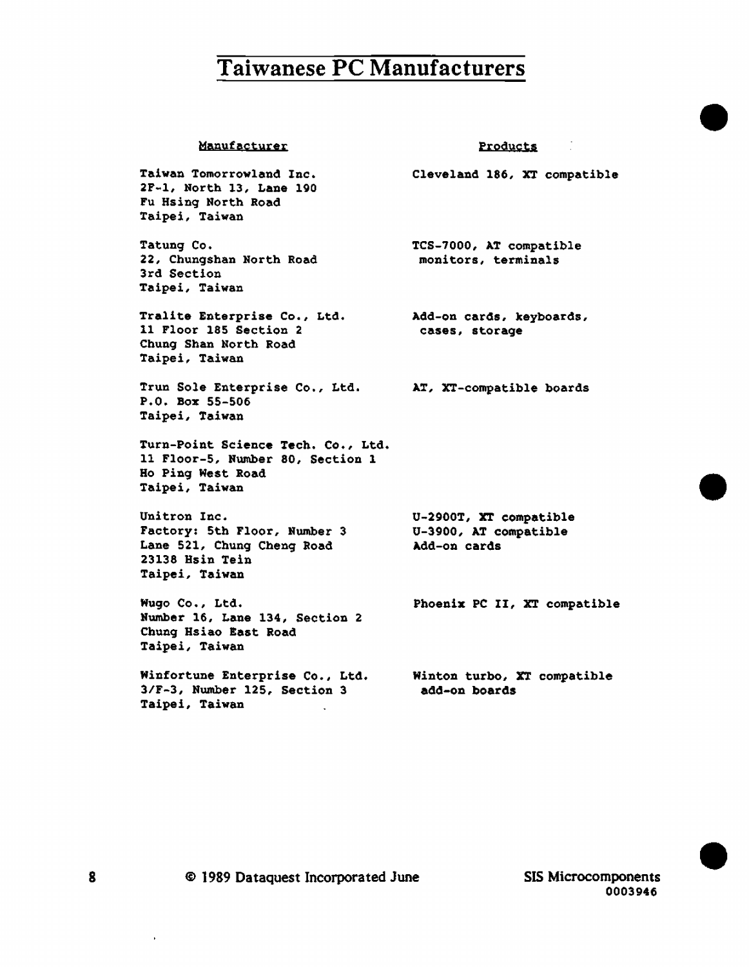#### Manufacturer

Products

•

•

•

Cleveland 186, XT compatible

Taiwan Tomorrowland Inc. 2F-l, North 13, Lane 190 Fu Hsing North Road Taipei, Taiwan

Tatung Co. 22, Chungshan North Road 3rd Section Taipei, Taiwan

Tralite Enterprise Co., Ltd. 11 Floor 185 Section 2 Chung Shan North Road Taipei, Taiwan

Trun Sole Enterprise Co., Ltd. AT, XT-compatible boards P.O. Box 55-506 Taipei, Taiwan

Turn-Point Science Tech. Co., Ltd. 11 Floor-5, Number 80, Section 1 Ho Ping West Road Taipei, Taiwan

Unitron Inc. Factory: 5th Floor, Number 3 Lane 521, Chung Cheng Road 23138 Hsin Tein Taipei, Taiwan

Wugo Co., Ltd. Number 16, Lane 134, Section 2 Chung Hsiao East Road Taipei, Taiwan

Winfortune Enterprise Co., Ltd. 3/F-3, Number 125, Section 3 Taipei, Taiwan

TCS-7000, AT compatible monitors, terminals

Add-on cards, keyboards, cases, storage

U-2900T, XT compatible U-3900, AT compatible Add-on cards

Phoenix PC II, XT compatible

Winton turbo, XT compatible add-on boards